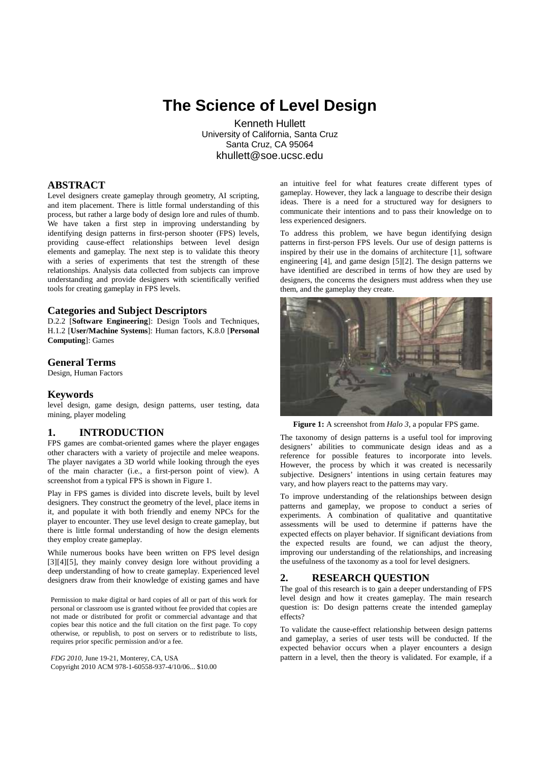# **The Science of Level Design**

Kenneth Hullett University of California, Santa Cruz Santa Cruz, CA 95064 khullett@soe.ucsc.edu

## **ABSTRACT**

Level designers create gameplay through geometry, AI scripting, and item placement. There is little formal understanding of this process, but rather a large body of design lore and rules of thumb. We have taken a first step in improving understanding by identifying design patterns in first-person shooter (FPS) levels, providing cause-effect relationships between level design elements and gameplay. The next step is to validate this theory with a series of experiments that test the strength of these relationships. Analysis data collected from subjects can improve understanding and provide designers with scientifically verified tools for creating gameplay in FPS levels.

#### **Categories and Subject Descriptors**

D.2.2 [**Software Engineering**]: Design Tools and Techniques, H.1.2 [**User/Machine Systems**]: Human factors, K.8.0 [**Personal Computing**]: Games

#### **General Terms**

Design, Human Factors

#### **Keywords**

level design, game design, design patterns, user testing, data mining, player modeling

## **1. INTRODUCTION**

FPS games are combat-oriented games where the player engages other characters with a variety of projectile and melee weapons. The player navigates a 3D world while looking through the eyes of the main character (i.e., a first-person point of view). A screenshot from a typical FPS is shown in Figure 1.

Play in FPS games is divided into discrete levels, built by level designers. They construct the geometry of the level, place items in it, and populate it with both friendly and enemy NPCs for the player to encounter. They use level design to create gameplay, but there is little formal understanding of how the design elements they employ create gameplay.

While numerous books have been written on FPS level design [3][4][5], they mainly convey design lore without providing a deep understanding of how to create gameplay. Experienced level designers draw from their knowledge of existing games and have

Permission to make digital or hard copies of all or part of this work for personal or classroom use is granted without fee provided that copies are not made or distributed for profit or commercial advantage and that copies bear this notice and the full citation on the first page. To copy otherwise, or republish, to post on servers or to redistribute to lists, requires prior specific permission and/or a fee.

*FDG 2010*, June 19-21, Monterey, CA, USA Copyright 2010 ACM 978-1-60558-937-4/10/06... \$10.00

an intuitive feel for what features create different types of gameplay. However, they lack a language to describe their design ideas. There is a need for a structured way for designers to communicate their intentions and to pass their knowledge on to less experienced designers.

To address this problem, we have begun identifying design patterns in first-person FPS levels. Our use of design patterns is inspired by their use in the domains of architecture [1], software engineering [4], and game design [5][2]. The design patterns we have identified are described in terms of how they are used by designers, the concerns the designers must address when they use them, and the gameplay they create.



**Figure 1:** A screenshot from *Halo 3*, a popular FPS game.

The taxonomy of design patterns is a useful tool for improving designers' abilities to communicate design ideas and as a reference for possible features to incorporate into levels. However, the process by which it was created is necessarily subjective. Designers' intentions in using certain features may vary, and how players react to the patterns may vary.

To improve understanding of the relationships between design patterns and gameplay, we propose to conduct a series of experiments. A combination of qualitative and quantitative assessments will be used to determine if patterns have the expected effects on player behavior. If significant deviations from the expected results are found, we can adjust the theory, improving our understanding of the relationships, and increasing the usefulness of the taxonomy as a tool for level designers.

## **2. RESEARCH QUESTION**

The goal of this research is to gain a deeper understanding of FPS level design and how it creates gameplay. The main research question is: Do design patterns create the intended gameplay effects?

To validate the cause-effect relationship between design patterns and gameplay, a series of user tests will be conducted. If the expected behavior occurs when a player encounters a design pattern in a level, then the theory is validated. For example, if a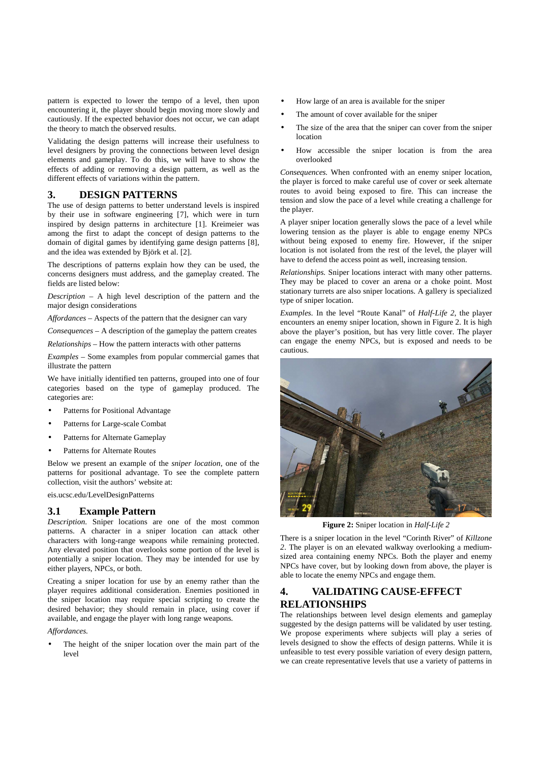pattern is expected to lower the tempo of a level, then upon encountering it, the player should begin moving more slowly and cautiously. If the expected behavior does not occur, we can adapt the theory to match the observed results.

Validating the design patterns will increase their usefulness to level designers by proving the connections between level design elements and gameplay. To do this, we will have to show the effects of adding or removing a design pattern, as well as the different effects of variations within the pattern.

#### **3. DESIGN PATTERNS**

The use of design patterns to better understand levels is inspired by their use in software engineering [7], which were in turn inspired by design patterns in architecture [1]. Kreimeier was among the first to adapt the concept of design patterns to the domain of digital games by identifying game design patterns [8], and the idea was extended by Björk et al. [2].

The descriptions of patterns explain how they can be used, the concerns designers must address, and the gameplay created. The fields are listed below:

*Description* – A high level description of the pattern and the major design considerations

*Affordances* – Aspects of the pattern that the designer can vary

*Consequences* – A description of the gameplay the pattern creates

*Relationships* – How the pattern interacts with other patterns

*Examples* – Some examples from popular commercial games that illustrate the pattern

We have initially identified ten patterns, grouped into one of four categories based on the type of gameplay produced. The categories are:

- Patterns for Positional Advantage
- Patterns for Large-scale Combat
- Patterns for Alternate Gameplay
- Patterns for Alternate Routes

Below we present an example of the *sniper location*, one of the patterns for positional advantage. To see the complete pattern collection, visit the authors' website at:

eis.ucsc.edu/LevelDesignPatterns

#### **3.1 Example Pattern**

*Description.* Sniper locations are one of the most common patterns. A character in a sniper location can attack other characters with long-range weapons while remaining protected. Any elevated position that overlooks some portion of the level is potentially a sniper location. They may be intended for use by either players, NPCs, or both.

Creating a sniper location for use by an enemy rather than the player requires additional consideration. Enemies positioned in the sniper location may require special scripting to create the desired behavior; they should remain in place, using cover if available, and engage the player with long range weapons.

*Affordances.* 

The height of the sniper location over the main part of the level

- How large of an area is available for the sniper
- The amount of cover available for the sniper
- The size of the area that the sniper can cover from the sniper location
- How accessible the sniper location is from the area overlooked

*Consequences.* When confronted with an enemy sniper location, the player is forced to make careful use of cover or seek alternate routes to avoid being exposed to fire. This can increase the tension and slow the pace of a level while creating a challenge for the player.

A player sniper location generally slows the pace of a level while lowering tension as the player is able to engage enemy NPCs without being exposed to enemy fire. However, if the sniper location is not isolated from the rest of the level, the player will have to defend the access point as well, increasing tension.

*Relationships.* Sniper locations interact with many other patterns. They may be placed to cover an arena or a choke point. Most stationary turrets are also sniper locations. A gallery is specialized type of sniper location.

*Examples.* In the level "Route Kanal" of *Half-Life 2*, the player encounters an enemy sniper location, shown in Figure 2. It is high above the player's position, but has very little cover. The player can engage the enemy NPCs, but is exposed and needs to be cautious.



**Figure 2:** Sniper location in *Half-Life 2* 

There is a sniper location in the level "Corinth River" of *Killzone 2*. The player is on an elevated walkway overlooking a mediumsized area containing enemy NPCs. Both the player and enemy NPCs have cover, but by looking down from above, the player is able to locate the enemy NPCs and engage them.

# **4. VALIDATING CAUSE-EFFECT RELATIONSHIPS**

The relationships between level design elements and gameplay suggested by the design patterns will be validated by user testing. We propose experiments where subjects will play a series of levels designed to show the effects of design patterns. While it is unfeasible to test every possible variation of every design pattern, we can create representative levels that use a variety of patterns in